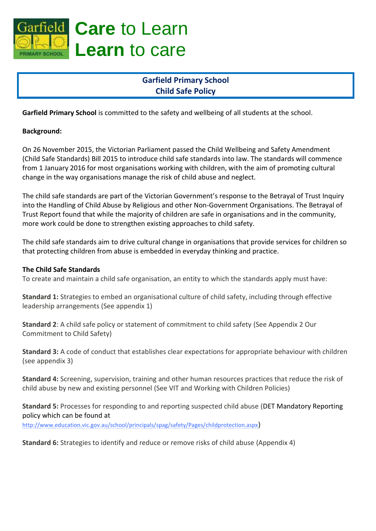

# **Care** to Learn **Learn** to care

## **Garfield Primary School Child Safe Policy**

**Garfield Primary School** is committed to the safety and wellbeing of all students at the school.

#### **Background:**

On 26 November 2015, the Victorian Parliament passed the Child Wellbeing and Safety Amendment (Child Safe Standards) Bill 2015 to introduce child safe standards into law. The standards will commence from 1 January 2016 for most organisations working with children, with the aim of promoting cultural change in the way organisations manage the risk of child abuse and neglect.

The child safe standards are part of the Victorian Government's response to the Betrayal of Trust Inquiry into the Handling of Child Abuse by Religious and other Non-Government Organisations. The Betrayal of Trust Report found that while the majority of children are safe in organisations and in the community, more work could be done to strengthen existing approaches to child safety.

The child safe standards aim to drive cultural change in organisations that provide services for children so that protecting children from abuse is embedded in everyday thinking and practice.

#### **The Child Safe Standards**

To create and maintain a child safe organisation, an entity to which the standards apply must have:

**Standard 1:** Strategies to embed an organisational culture of child safety, including through effective leadership arrangements (See appendix 1)

**Standard 2**: A child safe policy or statement of commitment to child safety (See Appendix 2 Our Commitment to Child Safety)

**Standard 3:** A code of conduct that establishes clear expectations for appropriate behaviour with children (see appendix 3)

**Standard 4:** Screening, supervision, training and other human resources practices that reduce the risk of child abuse by new and existing personnel (See VIT and Working with Children Policies)

**Standard 5:** Processes for responding to and reporting suspected child abuse (DET Mandatory Reporting policy which can be found at

<http://www.education.vic.gov.au/school/principals/spag/safety/Pages/childprotection.aspx>)

**Standard 6:** Strategies to identify and reduce or remove risks of child abuse (Appendix 4)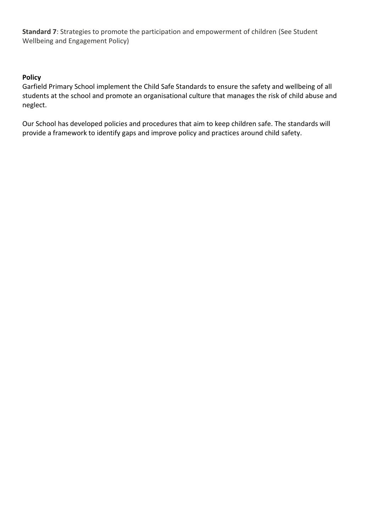**Standard 7**: Strategies to promote the participation and empowerment of children (See Student Wellbeing and Engagement Policy)

#### **Policy**

Garfield Primary School implement the Child Safe Standards to ensure the safety and wellbeing of all students at the school and promote an organisational culture that manages the risk of child abuse and neglect.

Our School has developed policies and procedures that aim to keep children safe. The standards will provide a framework to identify gaps and improve policy and practices around child safety.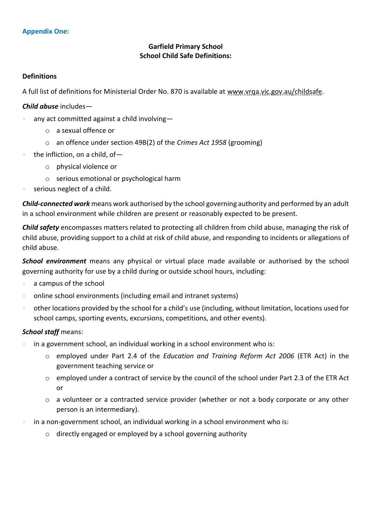#### **Garfield Primary School School Child Safe Definitions:**

#### **Definitions**

A full list of definitions for Ministerial Order No. 870 is available at [www.vrqa.vic.gov.au/childsafe.](http://www.vrqa.vic.gov.au/childsafe)

#### *Child abuse* includes—

- any act committed against a child involving
	- o a sexual offence or
	- o an offence under section 49B(2) of the *Crimes Act 1958* (grooming)
- $\bullet$  the infliction, on a child, of
	- o physical violence or
	- o serious emotional or psychological harm
- serious neglect of a child.

*Child-connected work* means work authorised by the school governing authority and performed by an adult in a school environment while children are present or reasonably expected to be present.

*Child safety* encompasses matters related to protecting all children from child abuse, managing the risk of child abuse, providing support to a child at risk of child abuse, and responding to incidents or allegations of child abuse.

*School environment* means any physical or virtual place made available or authorised by the school governing authority for use by a child during or outside school hours, including:

- a campus of the school
- online school environments (including email and intranet systems)
- other locations provided by the school for a child's use (including, without limitation, locations used for school camps, sporting events, excursions, competitions, and other events).

#### *School staff* means:

- in a government school, an individual working in a school environment who is:
	- o employed under Part 2.4 of the *Education and Training Reform Act 2006* (ETR Act) in the government teaching service or
	- o employed under a contract of service by the council of the school under Part 2.3 of the ETR Act or
	- o a volunteer or a contracted service provider (whether or not a body corporate or any other person is an intermediary).
- in a non-government school, an individual working in a school environment who is:
	- o directly engaged or employed by a school governing authority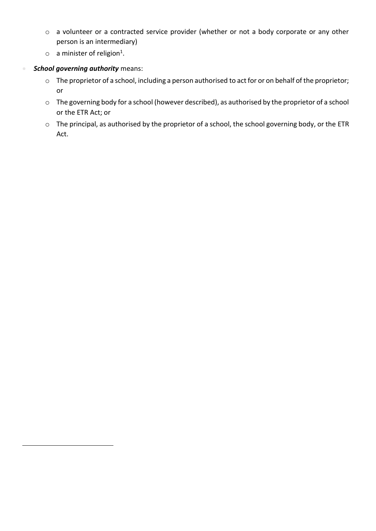- o a volunteer or a contracted service provider (whether or not a body corporate or any other person is an intermediary)
- $\circ$  a minister of religion<sup>1</sup>.

#### *School governing authority* means:

 $\overline{a}$ 

- o The proprietor of a school, including a person authorised to act for or on behalf of the proprietor; or
- o The governing body for a school (however described), as authorised by the proprietor of a school or the ETR Act; or
- o The principal, as authorised by the proprietor of a school, the school governing body, or the ETR Act.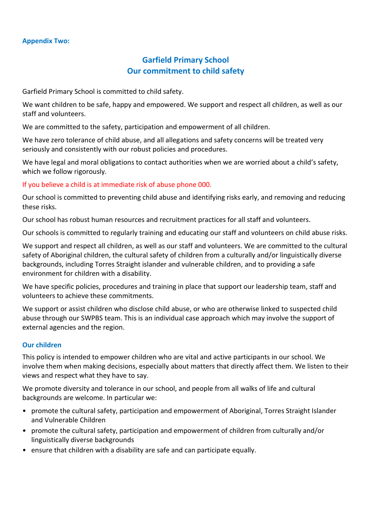## **Garfield Primary School Our commitment to child safety**

Garfield Primary School is committed to child safety.

We want children to be safe, happy and empowered. We support and respect all children, as well as our staff and volunteers.

We are committed to the safety, participation and empowerment of all children.

We have zero tolerance of child abuse, and all allegations and safety concerns will be treated very seriously and consistently with our robust policies and procedures.

We have legal and moral obligations to contact authorities when we are worried about a child's safety, which we follow rigorously.

If you believe a child is at immediate risk of abuse phone 000.

Our school is committed to preventing child abuse and identifying risks early, and removing and reducing these risks.

Our school has robust human resources and recruitment practices for all staff and volunteers.

Our schools is committed to regularly training and educating our staff and volunteers on child abuse risks.

We support and respect all children, as well as our staff and volunteers. We are committed to the cultural safety of Aboriginal children, the cultural safety of children from a culturally and/or linguistically diverse backgrounds, including Torres Straight islander and vulnerable children, and to providing a safe environment for children with a disability.

We have specific policies, procedures and training in place that support our leadership team, staff and volunteers to achieve these commitments.

We support or assist children who disclose child abuse, or who are otherwise linked to suspected child abuse through our SWPBS team. This is an individual case approach which may involve the support of external agencies and the region.

#### **Our children**

This policy is intended to empower children who are vital and active participants in our school. We involve them when making decisions, especially about matters that directly affect them. We listen to their views and respect what they have to say.

We promote diversity and tolerance in our school, and people from all walks of life and cultural backgrounds are welcome. In particular we:

- promote the cultural safety, participation and empowerment of Aboriginal, Torres Straight Islander and Vulnerable Children
- promote the cultural safety, participation and empowerment of children from culturally and/or linguistically diverse backgrounds
- ensure that children with a disability are safe and can participate equally.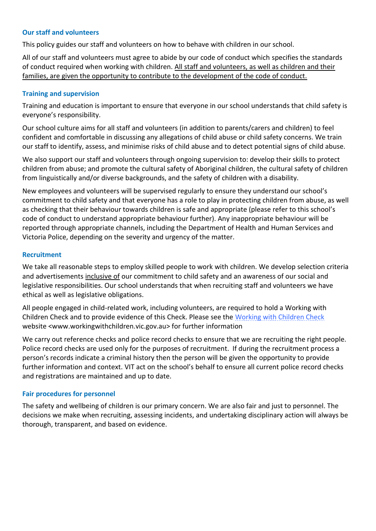#### **Our staff and volunteers**

This policy guides our staff and volunteers on how to behave with children in our school.

All of our staff and volunteers must agree to abide by our code of conduct which specifies the standards of conduct required when working with children. All staff and volunteers, as well as children and their families, are given the opportunity to contribute to the development of the code of conduct.

#### **Training and supervision**

Training and education is important to ensure that everyone in our school understands that child safety is everyone's responsibility.

Our school culture aims for all staff and volunteers (in addition to parents/carers and children) to feel confident and comfortable in discussing any allegations of child abuse or child safety concerns. We train our staff to identify, assess, and minimise risks of child abuse and to detect potential signs of child abuse.

We also support our staff and volunteers through ongoing supervision to: develop their skills to protect children from abuse; and promote the cultural safety of Aboriginal children, the cultural safety of children from linguistically and/or diverse backgrounds, and the safety of children with a disability.

New employees and volunteers will be supervised regularly to ensure they understand our school's commitment to child safety and that everyone has a role to play in protecting children from abuse, as well as checking that their behaviour towards children is safe and appropriate (please refer to this school's code of conduct to understand appropriate behaviour further). Any inappropriate behaviour will be reported through appropriate channels, including the Department of Health and Human Services and Victoria Police, depending on the severity and urgency of the matter.

#### **Recruitment**

We take all reasonable steps to employ skilled people to work with children. We develop selection criteria and advertisements inclusive of our commitment to child safety and an awareness of our social and legislative responsibilities. Our school understands that when recruiting staff and volunteers we have ethical as well as legislative obligations.

All people engaged in child-related work, including volunteers, are required to hold a Working with Children Check and to provide evidence of this Check. Please see the [Working with Children Check](http://www.workingwithchildren.vic.gov.au/) website <www.workingwithchildren.vic.gov.au> for further information

We carry out reference checks and police record checks to ensure that we are recruiting the right people. Police record checks are used only for the purposes of recruitment. If during the recruitment process a person's records indicate a criminal history then the person will be given the opportunity to provide further information and context. VIT act on the school's behalf to ensure all current police record checks and registrations are maintained and up to date.

#### **Fair procedures for personnel**

The safety and wellbeing of children is our primary concern. We are also fair and just to personnel. The decisions we make when recruiting, assessing incidents, and undertaking disciplinary action will always be thorough, transparent, and based on evidence.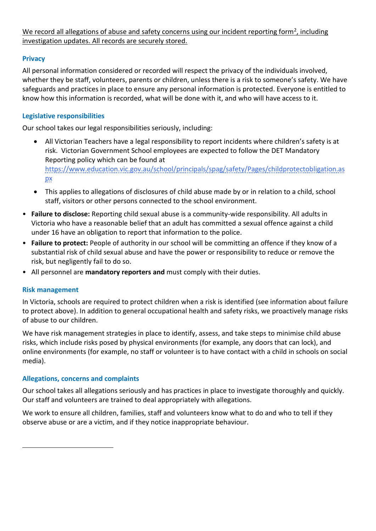We record all allegations of abuse and safety concerns using our incident reporting form<sup>2</sup>, including investigation updates. All records are securely stored.

#### **Privacy**

All personal information considered or recorded will respect the privacy of the individuals involved, whether they be staff, volunteers, parents or children, unless there is a risk to someone's safety. We have safeguards and practices in place to ensure any personal information is protected. Everyone is entitled to know how this information is recorded, what will be done with it, and who will have access to it.

#### **Legislative responsibilities**

Our school takes our legal responsibilities seriously, including:

- All Victorian Teachers have a legal responsibility to report incidents where children's safety is at risk. Victorian Government School employees are expected to follow the DET Mandatory Reporting policy which can be found at [https://www.education.vic.gov.au/school/principals/spag/safety/Pages/childprotectobligation.as](https://www.education.vic.gov.au/school/principals/spag/safety/Pages/childprotectobligation.aspx) [px](https://www.education.vic.gov.au/school/principals/spag/safety/Pages/childprotectobligation.aspx)
- This applies to allegations of disclosures of child abuse made by or in relation to a child, school staff, visitors or other persons connected to the school environment.
- **Failure to disclose:** Reporting child sexual abuse is a community-wide responsibility. All adults in Victoria who have a reasonable belief that an adult has committed a sexual offence against a child under 16 have an obligation to report that information to the police.
- **Failure to protect:** People of authority in our school will be committing an offence if they know of a substantial risk of child sexual abuse and have the power or responsibility to reduce or remove the risk, but negligently fail to do so.
- All personnel are **mandatory reporters and** must comply with their duties.

#### **Risk management**

 $\overline{\phantom{a}}$ 

In Victoria, schools are required to protect children when a risk is identified (see information about failure to protect above). In addition to general occupational health and safety risks, we proactively manage risks of abuse to our children.

We have risk management strategies in place to identify, assess, and take steps to minimise child abuse risks, which include risks posed by physical environments (for example, any doors that can lock), and online environments (for example, no staff or volunteer is to have contact with a child in schools on social media).

#### **Allegations, concerns and complaints**

Our school takes all allegations seriously and has practices in place to investigate thoroughly and quickly. Our staff and volunteers are trained to deal appropriately with allegations.

We work to ensure all children, families, staff and volunteers know what to do and who to tell if they observe abuse or are a victim, and if they notice inappropriate behaviour.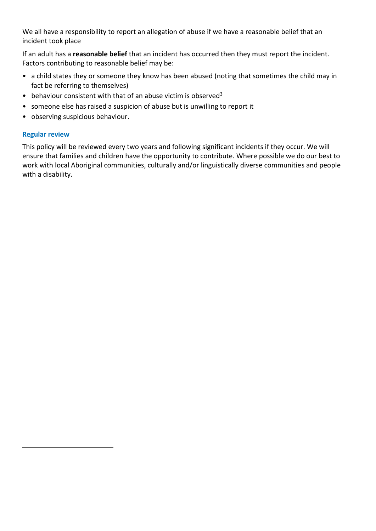We all have a responsibility to report an allegation of abuse if we have a reasonable belief that an incident took place

If an adult has a **reasonable belief** that an incident has occurred then they must report the incident. Factors contributing to reasonable belief may be:

- a child states they or someone they know has been abused (noting that sometimes the child may in fact be referring to themselves)
- behaviour consistent with that of an abuse victim is observed<sup>3</sup>
- someone else has raised a suspicion of abuse but is unwilling to report it
- observing suspicious behaviour.

#### **Regular review**

 $\overline{\phantom{a}}$ 

This policy will be reviewed every two years and following significant incidents if they occur. We will ensure that families and children have the opportunity to contribute. Where possible we do our best to work with local Aboriginal communities, culturally and/or linguistically diverse communities and people with a disability.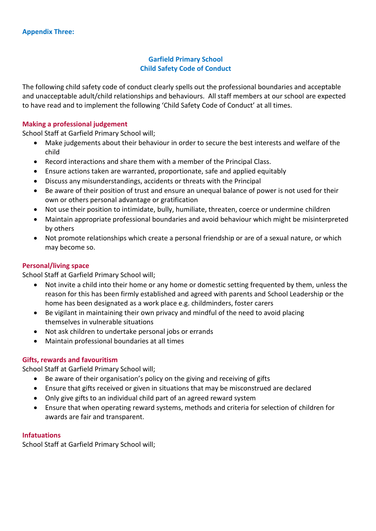#### **Garfield Primary School Child Safety Code of Conduct**

The following child safety code of conduct clearly spells out the professional boundaries and acceptable and unacceptable adult/child relationships and behaviours. All staff members at our school are expected to have read and to implement the following 'Child Safety Code of Conduct' at all times.

#### **Making a professional judgement**

School Staff at Garfield Primary School will;

- Make judgements about their behaviour in order to secure the best interests and welfare of the child
- Record interactions and share them with a member of the Principal Class.
- Ensure actions taken are warranted, proportionate, safe and applied equitably
- Discuss any misunderstandings, accidents or threats with the Principal
- Be aware of their position of trust and ensure an unequal balance of power is not used for their own or others personal advantage or gratification
- Not use their position to intimidate, bully, humiliate, threaten, coerce or undermine children
- Maintain appropriate professional boundaries and avoid behaviour which might be misinterpreted by others
- Not promote relationships which create a personal friendship or are of a sexual nature, or which may become so.

#### **Personal/living space**

School Staff at Garfield Primary School will;

- Not invite a child into their home or any home or domestic setting frequented by them, unless the reason for this has been firmly established and agreed with parents and School Leadership or the home has been designated as a work place e.g. childminders, foster carers
- Be vigilant in maintaining their own privacy and mindful of the need to avoid placing themselves in vulnerable situations
- Not ask children to undertake personal jobs or errands
- Maintain professional boundaries at all times

#### **Gifts, rewards and favouritism**

School Staff at Garfield Primary School will;

- Be aware of their organisation's policy on the giving and receiving of gifts
- Ensure that gifts received or given in situations that may be misconstrued are declared
- Only give gifts to an individual child part of an agreed reward system
- Ensure that when operating reward systems, methods and criteria for selection of children for awards are fair and transparent.

#### **Infatuations**

School Staff at Garfield Primary School will;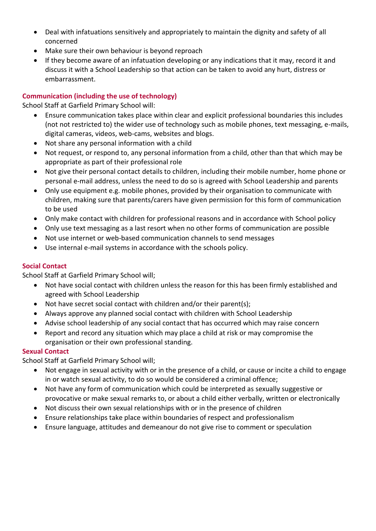- Deal with infatuations sensitively and appropriately to maintain the dignity and safety of all concerned
- Make sure their own behaviour is beyond reproach
- If they become aware of an infatuation developing or any indications that it may, record it and discuss it with a School Leadership so that action can be taken to avoid any hurt, distress or embarrassment.

### **Communication (including the use of technology)**

School Staff at Garfield Primary School will:

- Ensure communication takes place within clear and explicit professional boundaries this includes (not not restricted to) the wider use of technology such as mobile phones, text messaging, e-mails, digital cameras, videos, web-cams, websites and blogs.
- Not share any personal information with a child
- Not request, or respond to, any personal information from a child, other than that which may be appropriate as part of their professional role
- Not give their personal contact details to children, including their mobile number, home phone or personal e-mail address, unless the need to do so is agreed with School Leadership and parents
- Only use equipment e.g. mobile phones, provided by their organisation to communicate with children, making sure that parents/carers have given permission for this form of communication to be used
- Only make contact with children for professional reasons and in accordance with School policy
- Only use text messaging as a last resort when no other forms of communication are possible
- Not use internet or web-based communication channels to send messages
- Use internal e-mail systems in accordance with the schools policy.

#### **Social Contact**

School Staff at Garfield Primary School will;

- Not have social contact with children unless the reason for this has been firmly established and agreed with School Leadership
- Not have secret social contact with children and/or their parent(s);
- Always approve any planned social contact with children with School Leadership
- Advise school leadership of any social contact that has occurred which may raise concern
- Report and record any situation which may place a child at risk or may compromise the organisation or their own professional standing.

#### **Sexual Contact**

School Staff at Garfield Primary School will;

- Not engage in sexual activity with or in the presence of a child, or cause or incite a child to engage in or watch sexual activity, to do so would be considered a criminal offence;
- Not have any form of communication which could be interpreted as sexually suggestive or provocative or make sexual remarks to, or about a child either verbally, written or electronically
- Not discuss their own sexual relationships with or in the presence of children
- Ensure relationships take place within boundaries of respect and professionalism
- Ensure language, attitudes and demeanour do not give rise to comment or speculation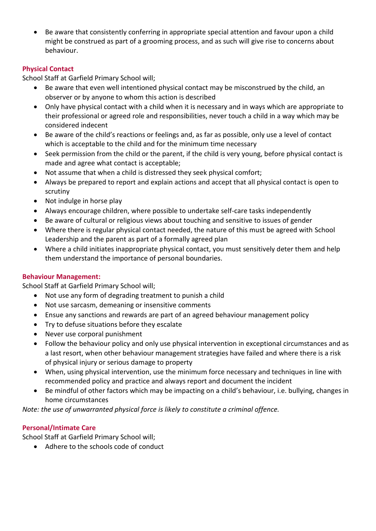Be aware that consistently conferring in appropriate special attention and favour upon a child might be construed as part of a grooming process, and as such will give rise to concerns about behaviour.

#### **Physical Contact**

School Staff at Garfield Primary School will;

- Be aware that even well intentioned physical contact may be misconstrued by the child, an observer or by anyone to whom this action is described
- Only have physical contact with a child when it is necessary and in ways which are appropriate to their professional or agreed role and responsibilities, never touch a child in a way which may be considered indecent
- Be aware of the child's reactions or feelings and, as far as possible, only use a level of contact which is acceptable to the child and for the minimum time necessary
- Seek permission from the child or the parent, if the child is very young, before physical contact is made and agree what contact is acceptable;
- Not assume that when a child is distressed they seek physical comfort;
- Always be prepared to report and explain actions and accept that all physical contact is open to scrutiny
- Not indulge in horse play
- Always encourage children, where possible to undertake self-care tasks independently
- Be aware of cultural or religious views about touching and sensitive to issues of gender
- Where there is regular physical contact needed, the nature of this must be agreed with School Leadership and the parent as part of a formally agreed plan
- Where a child initiates inappropriate physical contact, you must sensitively deter them and help them understand the importance of personal boundaries.

#### **Behaviour Management:**

School Staff at Garfield Primary School will;

- Not use any form of degrading treatment to punish a child
- Not use sarcasm, demeaning or insensitive comments
- Ensue any sanctions and rewards are part of an agreed behaviour management policy
- Try to defuse situations before they escalate
- Never use corporal punishment
- Follow the behaviour policy and only use physical intervention in exceptional circumstances and as a last resort, when other behaviour management strategies have failed and where there is a risk of physical injury or serious damage to property
- When, using physical intervention, use the minimum force necessary and techniques in line with recommended policy and practice and always report and document the incident
- Be mindful of other factors which may be impacting on a child's behaviour, i.e. bullying, changes in home circumstances

*Note: the use of unwarranted physical force is likely to constitute a criminal offence.*

#### **Personal/Intimate Care**

School Staff at Garfield Primary School will;

• Adhere to the schools code of conduct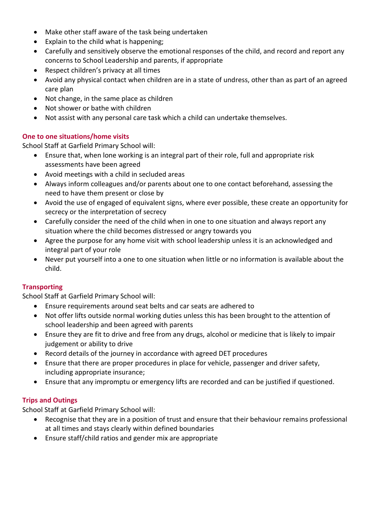- Make other staff aware of the task being undertaken
- Explain to the child what is happening;
- Carefully and sensitively observe the emotional responses of the child, and record and report any concerns to School Leadership and parents, if appropriate
- Respect children's privacy at all times
- Avoid any physical contact when children are in a state of undress, other than as part of an agreed care plan
- Not change, in the same place as children
- Not shower or bathe with children
- Not assist with any personal care task which a child can undertake themselves.

#### **One to one situations/home visits**

School Staff at Garfield Primary School will:

- Ensure that, when lone working is an integral part of their role, full and appropriate risk assessments have been agreed
- Avoid meetings with a child in secluded areas
- Always inform colleagues and/or parents about one to one contact beforehand, assessing the need to have them present or close by
- Avoid the use of engaged of equivalent signs, where ever possible, these create an opportunity for secrecy or the interpretation of secrecy
- Carefully consider the need of the child when in one to one situation and always report any situation where the child becomes distressed or angry towards you
- Agree the purpose for any home visit with school leadership unless it is an acknowledged and integral part of your role
- Never put yourself into a one to one situation when little or no information is available about the child.

#### **Transporting**

School Staff at Garfield Primary School will:

- Ensure requirements around seat belts and car seats are adhered to
- Not offer lifts outside normal working duties unless this has been brought to the attention of school leadership and been agreed with parents
- Ensure they are fit to drive and free from any drugs, alcohol or medicine that is likely to impair judgement or ability to drive
- Record details of the journey in accordance with agreed DET procedures
- Ensure that there are proper procedures in place for vehicle, passenger and driver safety, including appropriate insurance;
- Ensure that any impromptu or emergency lifts are recorded and can be justified if questioned.

#### **Trips and Outings**

School Staff at Garfield Primary School will:

- Recognise that they are in a position of trust and ensure that their behaviour remains professional at all times and stays clearly within defined boundaries
- Ensure staff/child ratios and gender mix are appropriate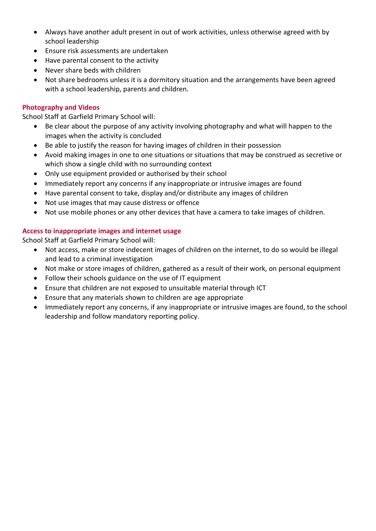- Always have another adult present in out of work activities, unless otherwise agreed with by school leadership
- Ensure risk assessments are undertaken
- Have parental consent to the activity
- Never share beds with children
- Not share bedrooms unless it is a dormitory situation and the arrangements have been agreed with a school leadership, parents and children.

#### **Photography and Videos**

School Staff at Garfield Primary School will:

- Be clear about the purpose of any activity involving photography and what will happen to the images when the activity is concluded
- Be able to justify the reason for having images of children in their possession
- Avoid making images in one to one situations or situations that may be construed as secretive or which show a single child with no surrounding context
- Only use equipment provided or authorised by their school
- Immediately report any concerns if any inappropriate or intrusive images are found
- Have parental consent to take, display and/or distribute any images of children
- Not use images that may cause distress or offence
- Not use mobile phones or any other devices that have a camera to take images of children.

#### **Access to inappropriate images and internet usage**

School Staff at Garfield Primary School will:

- Not access, make or store indecent images of children on the internet, to do so would be illegal and lead to a criminal investigation
- Not make or store images of children, gathered as a result of their work, on personal equipment
- Follow their schools guidance on the use of IT equipment
- Ensure that children are not exposed to unsuitable material through ICT
- Ensure that any materials shown to children are age appropriate
- Immediately report any concerns, if any inappropriate or intrusive images are found, to the school leadership and follow mandatory reporting policy.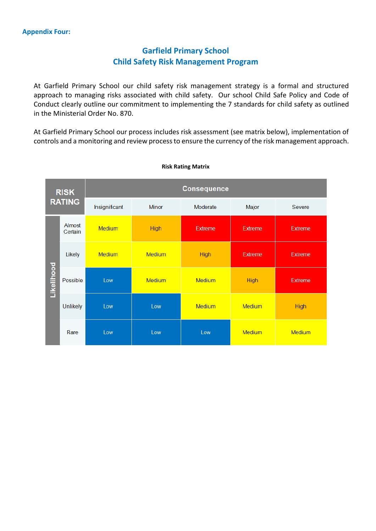## **Garfield Primary School Child Safety Risk Management Program**

At Garfield Primary School our child safety risk management strategy is a formal and structured approach to managing risks associated with child safety. Our school Child Safe Policy and Code of Conduct clearly outline our commitment to implementing the 7 standards for child safety as outlined in the Ministerial Order No. 870.

At Garfield Primary School our process includes risk assessment (see matrix below), implementation of controls and a monitoring and review process to ensure the currency of the risk management approach.



#### **Risk Rating Matrix**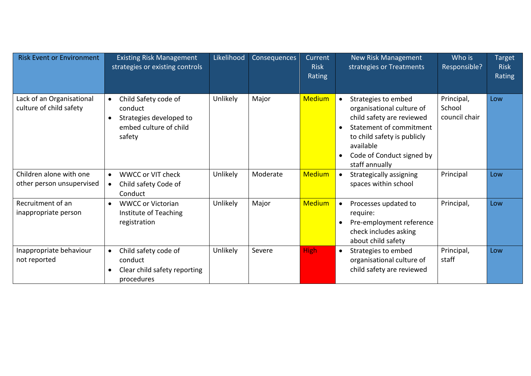| <b>Risk Event or Environment</b>                     | <b>Existing Risk Management</b><br>strategies or existing controls                                          | Likelihood      | Consequences | Current<br><b>Risk</b><br>Rating |           | <b>New Risk Management</b><br>strategies or Treatments                                                                                                                                              | Who is<br>Responsible?                | <b>Target</b><br><b>Risk</b><br>Rating |
|------------------------------------------------------|-------------------------------------------------------------------------------------------------------------|-----------------|--------------|----------------------------------|-----------|-----------------------------------------------------------------------------------------------------------------------------------------------------------------------------------------------------|---------------------------------------|----------------------------------------|
| Lack of an Organisational<br>culture of child safety | Child Safety code of<br>$\bullet$<br>conduct<br>Strategies developed to<br>embed culture of child<br>safety | <b>Unlikely</b> | Major        | <b>Medium</b>                    | $\bullet$ | Strategies to embed<br>organisational culture of<br>child safety are reviewed<br>Statement of commitment<br>to child safety is publicly<br>available<br>Code of Conduct signed by<br>staff annually | Principal,<br>School<br>council chair | Low                                    |
| Children alone with one<br>other person unsupervised | <b>WWCC or VIT check</b><br>$\bullet$<br>Child safety Code of<br>$\bullet$<br>Conduct                       | Unlikely        | Moderate     | <b>Medium</b>                    | $\bullet$ | Strategically assigning<br>spaces within school                                                                                                                                                     | Principal                             | Low                                    |
| Recruitment of an<br>inappropriate person            | <b>WWCC or Victorian</b><br>Institute of Teaching<br>registration                                           | Unlikely        | Major        | <b>Medium</b>                    | $\bullet$ | Processes updated to<br>require:<br>Pre-employment reference<br>check includes asking<br>about child safety                                                                                         | Principal,                            | Low                                    |
| Inappropriate behaviour<br>not reported              | Child safety code of<br>$\bullet$<br>conduct<br>Clear child safety reporting<br>procedures                  | Unlikely        | Severe       | <b>High</b>                      | $\bullet$ | Strategies to embed<br>organisational culture of<br>child safety are reviewed                                                                                                                       | Principal,<br>staff                   | Low                                    |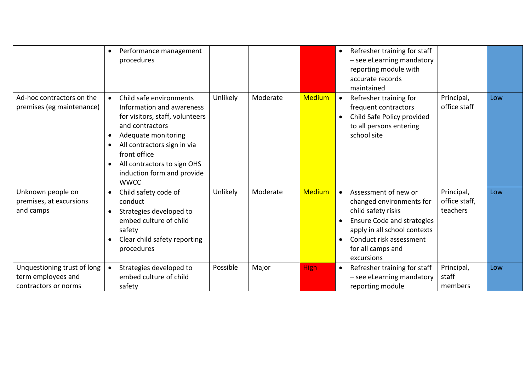|                                                                           | Performance management<br>$\bullet$<br>procedures                                                                                                                                                                                                                         |                 |          |               | $\bullet$ | Refresher training for staff<br>- see eLearning mandatory<br>reporting module with<br>accurate records<br>maintained                                                                                      |                                         |     |
|---------------------------------------------------------------------------|---------------------------------------------------------------------------------------------------------------------------------------------------------------------------------------------------------------------------------------------------------------------------|-----------------|----------|---------------|-----------|-----------------------------------------------------------------------------------------------------------------------------------------------------------------------------------------------------------|-----------------------------------------|-----|
| Ad-hoc contractors on the<br>premises (eg maintenance)                    | Child safe environments<br>$\bullet$<br>Information and awareness<br>for visitors, staff, volunteers<br>and contractors<br>Adequate monitoring<br>All contractors sign in via<br>front office<br>All contractors to sign OHS<br>induction form and provide<br><b>WWCC</b> | Unlikely        | Moderate | <b>Medium</b> | $\bullet$ | Refresher training for<br>frequent contractors<br>Child Safe Policy provided<br>to all persons entering<br>school site                                                                                    | Principal,<br>office staff              | Low |
| Unknown people on<br>premises, at excursions<br>and camps                 | Child safety code of<br>$\bullet$<br>conduct<br>Strategies developed to<br>embed culture of child<br>safety<br>Clear child safety reporting<br>procedures                                                                                                                 | <b>Unlikely</b> | Moderate | <b>Medium</b> | $\bullet$ | Assessment of new or<br>changed environments for<br>child safety risks<br><b>Ensure Code and strategies</b><br>apply in all school contexts<br>Conduct risk assessment<br>for all camps and<br>excursions | Principal,<br>office staff,<br>teachers | Low |
| Unquestioning trust of long<br>term employees and<br>contractors or norms | Strategies developed to<br>$\bullet$<br>embed culture of child<br>safety                                                                                                                                                                                                  | Possible        | Major    | <b>High</b>   | $\bullet$ | Refresher training for staff<br>- see eLearning mandatory<br>reporting module                                                                                                                             | Principal,<br>staff<br>members          | Low |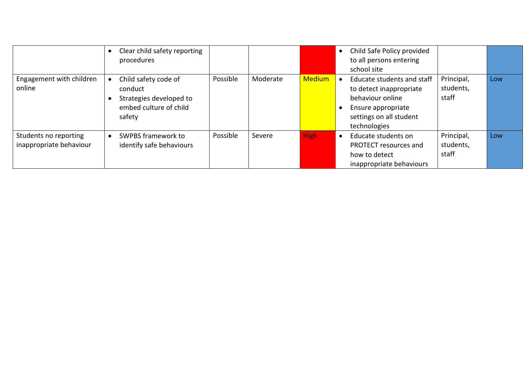|                                                  | Clear child safety reporting<br>procedures                                                     |          |          |               |           | Child Safe Policy provided<br>to all persons entering<br>school site                                                                       |                                  |     |
|--------------------------------------------------|------------------------------------------------------------------------------------------------|----------|----------|---------------|-----------|--------------------------------------------------------------------------------------------------------------------------------------------|----------------------------------|-----|
| Engagement with children<br>online               | Child safety code of<br>conduct<br>Strategies developed to<br>embed culture of child<br>safety | Possible | Moderate | <b>Medium</b> |           | Educate students and staff<br>to detect inappropriate<br>behaviour online<br>Ensure appropriate<br>settings on all student<br>technologies | Principal,<br>students,<br>staff | Low |
| Students no reporting<br>inappropriate behaviour | SWPBS framework to<br>identify safe behaviours                                                 | Possible | Severe   | <b>High</b>   | $\bullet$ | Educate students on<br>PROTECT resources and<br>how to detect<br>inappropriate behaviours                                                  | Principal,<br>students,<br>staff | Low |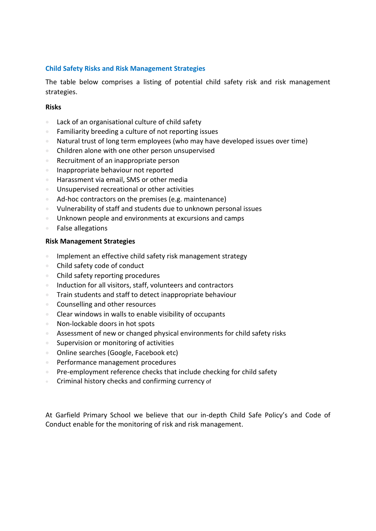#### **Child Safety Risks and Risk Management Strategies**

The table below comprises a listing of potential child safety risk and risk management strategies.

#### **Risks**

- Lack of an organisational culture of child safety
- Familiarity breeding a culture of not reporting issues
- Natural trust of long term employees (who may have developed issues over time)
- Children alone with one other person unsupervised
- Recruitment of an inappropriate person
- **Inappropriate behaviour not reported**
- Harassment via email, SMS or other media
- Unsupervised recreational or other activities
- Ad-hoc contractors on the premises (e.g. maintenance)
- Vulnerability of staff and students due to unknown personal issues
- Unknown people and environments at excursions and camps
- False allegations

#### **Risk Management Strategies**

- **Implement an effective child safety risk management strategy**
- Child safety code of conduct
- Child safety reporting procedures
- Induction for all visitors, staff, volunteers and contractors
- **Train students and staff to detect inappropriate behaviour**
- Counselling and other resources
- Clear windows in walls to enable visibility of occupants
- Non-lockable doors in hot spots
- Assessment of new or changed physical environments for child safety risks
- **Supervision or monitoring of activities**
- Online searches (Google, Facebook etc)
- Performance management procedures
- **Pre-employment reference checks that include checking for child safety**
- **Criminal history checks and confirming currency of**

At Garfield Primary School we believe that our in-depth Child Safe Policy's and Code of Conduct enable for the monitoring of risk and risk management.